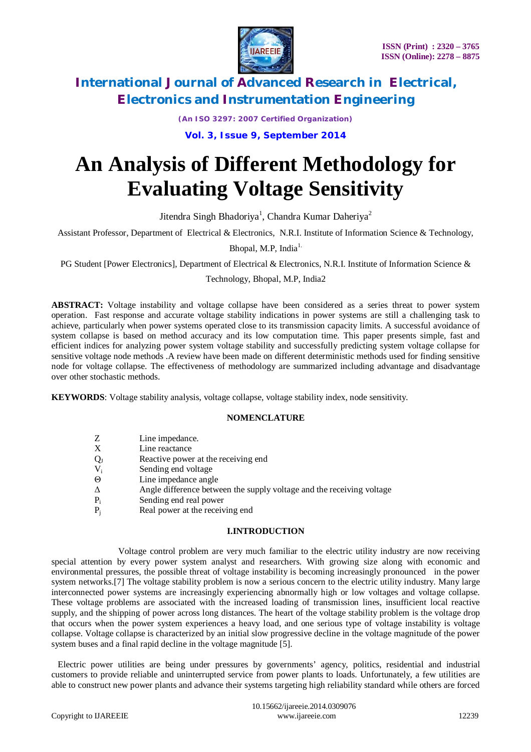

*(An ISO 3297: 2007 Certified Organization)*

**Vol. 3, Issue 9, September 2014**

# **An Analysis of Different Methodology for Evaluating Voltage Sensitivity**

Jitendra Singh Bhadoriya<sup>1</sup>, Chandra Kumar Daheriya<sup>2</sup>

Assistant Professor, Department of Electrical & Electronics, N.R.I. Institute of Information Science & Technology,

Bhopal, M.P. India $<sup>1</sup>$ .</sup>

PG Student [Power Electronics], Department of Electrical & Electronics, N.R.I. Institute of Information Science &

### Technology, Bhopal, M.P, India2

**ABSTRACT:** Voltage instability and voltage collapse have been considered as a series threat to power system operation. Fast response and accurate voltage stability indications in power systems are still a challenging task to achieve, particularly when power systems operated close to its transmission capacity limits. A successful avoidance of system collapse is based on method accuracy and its low computation time. This paper presents simple, fast and efficient indices for analyzing power system voltage stability and successfully predicting system voltage collapse for sensitive voltage node methods .A review have been made on different deterministic methods used for finding sensitive node for voltage collapse. The effectiveness of methodology are summarized including advantage and disadvantage over other stochastic methods.

**KEYWORDS**: Voltage stability analysis, voltage collapse, voltage stability index, node sensitivity.

### **NOMENCLATURE**

| Z      | Line impedance.                                                       |
|--------|-----------------------------------------------------------------------|
| X      | Line reactance                                                        |
| $Q_1$  | Reactive power at the receiving end                                   |
| $V_i$  | Sending end voltage                                                   |
| Θ      | Line impedance angle                                                  |
| Δ      | Angle difference between the supply voltage and the receiving voltage |
| $P_i$  | Sending end real power                                                |
| $\sim$ |                                                                       |

 $P_i$  Real power at the receiving end

### **I.INTRODUCTION**

 Voltage control problem are very much familiar to the electric utility industry are now receiving special attention by every power system analyst and researchers. With growing size along with economic and environmental pressures, the possible threat of voltage instability is becoming increasingly pronounced in the power system networks.[7] The voltage stability problem is now a serious concern to the electric utility industry. Many large interconnected power systems are increasingly experiencing abnormally high or low voltages and voltage collapse. These voltage problems are associated with the increased loading of transmission lines, insufficient local reactive supply, and the shipping of power across long distances. The heart of the voltage stability problem is the voltage drop that occurs when the power system experiences a heavy load, and one serious type of voltage instability is voltage collapse. Voltage collapse is characterized by an initial slow progressive decline in the voltage magnitude of the power system buses and a final rapid decline in the voltage magnitude [5].

 Electric power utilities are being under pressures by governments' agency, politics, residential and industrial customers to provide reliable and uninterrupted service from power plants to loads. Unfortunately, a few utilities are able to construct new power plants and advance their systems targeting high reliability standard while others are forced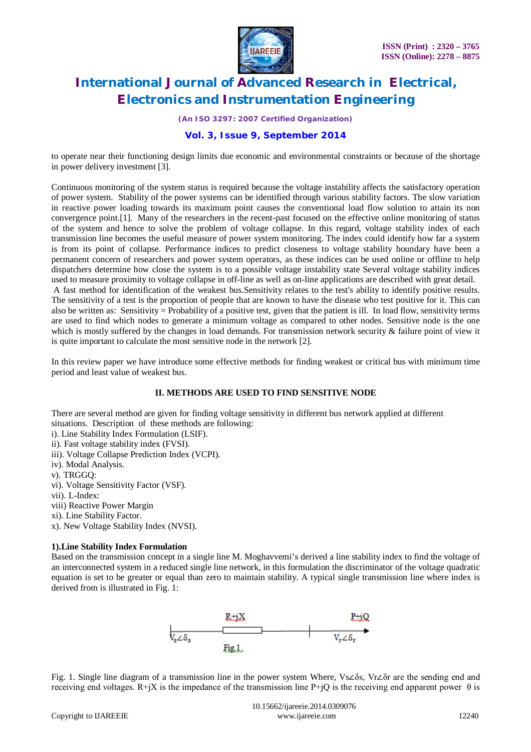

*(An ISO 3297: 2007 Certified Organization)*

# **Vol. 3, Issue 9, September 2014**

to operate near their functioning design limits due economic and environmental constraints or because of the shortage in power delivery investment [3].

Continuous monitoring of the system status is required because the voltage instability affects the satisfactory operation of power system. Stability of the power systems can be identified through various stability factors. The slow variation in reactive power loading towards its maximum point causes the conventional load flow solution to attain its non convergence point.[1]. Many of the researchers in the recent-past focused on the effective online monitoring of status of the system and hence to solve the problem of voltage collapse. In this regard, voltage stability index of each transmission line becomes the useful measure of power system monitoring. The index could identify how far a system is from its point of collapse. Performance indices to predict closeness to voltage stability boundary have been a permanent concern of researchers and power system operators, as these indices can be used online or offline to help dispatchers determine how close the system is to a possible voltage instability state Several voltage stability indices used to measure proximity to voltage collapse in off-line as well as on-line applications are described with great detail.

A fast method for identification of the weakest bus.Sensitivity relates to the test's ability to identify positive results. The sensitivity of a test is the proportion of people that are known to have the disease who test positive for it. This can also be written as: Sensitivity = Probability of a positive test, given that the patient is ill. In load flow, sensitivity terms are used to find which nodes to generate a minimum voltage as compared to other nodes. Sensitive node is the one which is mostly suffered by the changes in load demands. For transmission network security & failure point of view it is quite important to calculate the most sensitive node in the network [2].

In this review paper we have introduce some effective methods for finding weakest or critical bus with minimum time period and least value of weakest bus.

### **II. METHODS ARE USED TO FIND SENSITIVE NODE**

There are several method are given for finding voltage sensitivity in different bus network applied at different situations. Description of these methods are following:

- i). Line Stability Index Formulation (LSIF).
- ii). Fast voltage stability index (FVSI).
- iii). Voltage Collapse Prediction Index (VCPI).
- iv). Modal Analysis.
- v). TRGGQ:
- vi). Voltage Sensitivity Factor (VSF).
- vii). L-Index:
- viii) Reactive Power Margin
- xi). Line Stability Factor.
- x). New Voltage Stability Index (NVSI).

### **1).Line Stability Index Formulation**

Based on the transmission concept in a single line M. Moghavvemi's derived a line stability index to find the voltage of an interconnected system in a reduced single line network, in this formulation the discriminator of the voltage quadratic equation is set to be greater or equal than zero to maintain stability. A typical single transmission line where index is derived from is illustrated in Fig. 1:



Fig. 1. Single line diagram of a transmission line in the power system Where, Vs∠δs, Vr∠δr are the sending end and receiving end voltages. R+jX is the impedance of the transmission line P+jQ is the receiving end apparent power  $\theta$  is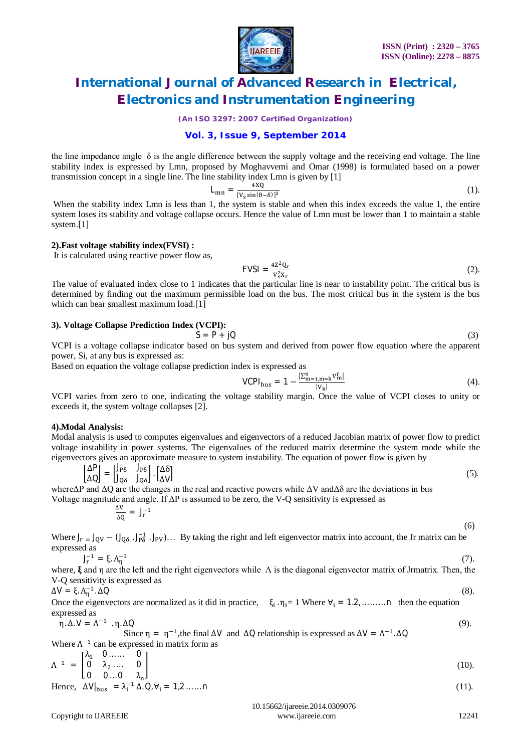

*(An ISO 3297: 2007 Certified Organization)*

### **Vol. 3, Issue 9, September 2014**

the line impedance angle  $\delta$  is the angle difference between the supply voltage and the receiving end voltage. The line stability index is expressed by Lmn, proposed by Moghavvemi and Omar (1998) is formulated based on a power transmission concept in a single line. The line stability index Lmn is given by [1]

$$
L_{mn} = \frac{4XQ}{[V_s \sin(\theta - \delta)]^2} \tag{1}
$$

When the stability index Lmn is less than 1, the system is stable and when this index exceeds the value 1, the entire system loses its stability and voltage collapse occurs. Hence the value of Lmn must be lower than 1 to maintain a stable system.[1]

#### **2).Fast voltage stability index(FVSI) :**

It is calculated using reactive power flow as,

$$
FVSI = \frac{4Z^2 Q_{\rm r}}{V_{\rm s}^2 X_{\rm r}}\tag{2}
$$

The value of evaluated index close to 1 indicates that the particular line is near to instability point. The critical bus is determined by finding out the maximum permissible load on the bus. The most critical bus in the system is the bus which can bear smallest maximum load.[1]

#### **3). Voltage Collapse Prediction Index (VCPI):**

$$
S = P + jQ \tag{3}
$$

VCPI is a voltage collapse indicator based on bus system and derived from power flow equation where the apparent power, Si, at any bus is expressed as:

Based on equation the voltage collapse prediction index is expressed as

VCPI<sub>bus</sub> = 1 - 
$$
\frac{|\sum_{m=1,m=k}^{n} V_m^f|}{|V_k|}
$$
 (4).

VCPI varies from zero to one, indicating the voltage stability margin. Once the value of VCPI closes to unity or exceeds it, the system voltage collapses [2].

#### **4).Modal Analysis:**

Modal analysis is used to computes eigenvalues and eigenvectors of a reduced Jacobian matrix of power flow to predict voltage instability in power systems. The eigenvalues of the reduced matrix determine the system mode while the eigenvectors gives an approximate measure to system instability. The equation of power flow is given by

$$
\begin{bmatrix}\n\Delta P \\
\Delta Q\n\end{bmatrix} = \begin{bmatrix}\nJ_{PB} & J_{PB} \\
J_{QS} & J_{QS}\n\end{bmatrix} \cdot \begin{bmatrix}\n\Delta \delta \\
\Delta V\n\end{bmatrix}
$$
\n(5)

where $\Delta P$  and  $\Delta Q$  are the changes in the real and reactive powers while  $\Delta V$  and  $\Delta \delta$  are the deviations in bus Voltage magnitude and angle. If  $\Delta P$  is assumed to be zero, the V-Q sensitivity is expressed as

$$
\frac{\Delta V}{\Delta Q} = J_r^{-1} \tag{6}
$$

Where  $J_r = J_{QV} - (J_{Q\delta} \cdot J_{P\delta}^{-1} \cdot J_{PV})\dots$  By taking the right and left eigenvector matrix into account, the Jr matrix can be expressed as

$$
J_{\Gamma}^{-1} = \xi, \Lambda_{\Gamma}^{-1} \tag{7}
$$

where,  $\xi$  and η are the left and the right eigenvectors while  $\Lambda$  is the diagonal eigenvector matrix of Jrmatrix. Then, the V-Q sensitivity is expressed as

 $\Delta V = \xi \cdot \Lambda_{\eta}^{-1}$  $\Delta Q$  (8).

Once the eigenvectors are normalized as it did in practice,  $\xi_i \cdot \eta_i = 1$  Where  $\forall_i = 1, 2, ..., ...$  n then the equation expressed as

$$
\eta.\Delta.V = \Lambda^{-1} \cdot \eta.\Delta Q \tag{9}
$$

Since  $\eta = \eta^{-1}$ , the final  $\Delta V$  and  $\Delta Q$  relationship is expressed as  $\Delta V = \Lambda^{-1} \Delta Q$ Where  $\Lambda^{-1}$  can be expressed in matrix form as

$$
\Lambda^{-1} = \begin{bmatrix} \lambda_1 & 0 & \dots & 0 \\ 0 & \lambda_2 & \dots & 0 \\ 0 & 0 & \dots & \lambda_n \end{bmatrix}
$$
 (10).

Hence, 
$$
\Delta V|_{bus} = \lambda_i^{-1} \Delta \Delta U_i + 1
$$
,  $\Delta V_i = 1, 2, ..., n$  (11).

 10.15662/ijareeie.2014.0309076 Copyright to IJAREEIE www.ijareeie.com 12241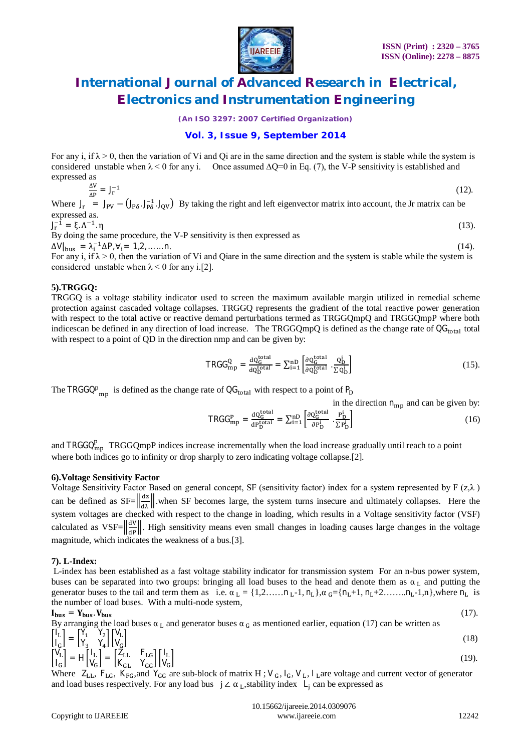

*(An ISO 3297: 2007 Certified Organization)*

# **Vol. 3, Issue 9, September 2014**

For any i, if  $\lambda > 0$ , then the variation of Vi and Qi are in the same direction and the system is stable while the system is considered unstable when  $\lambda$  < 0 for any i. Once assumed  $\Delta$ Q=0 in Eq. (7), the V-P sensitivity is established and expressed as

$$
\frac{\Delta V}{\Delta P} = J_r^{-1}
$$
\n(12).

Where  $J_r = J_{PV} - (J_{P\delta}. J_{P\delta}^{-1}. J_{QV})$  By taking the right and left eigenvector matrix into account, the Jr matrix can be expressed as.

 $J_r^{-1} = \xi \Lambda^{-1}$  $\eta$  (13). By doing the same procedure, the V-P sensitivity is then expressed as

 $\Delta V|_{\text{bus}} = \lambda_i^{-1} \Delta P, \forall i = 1, 2, \dots \dots n.$  (14).

For any i, if  $\lambda > 0$ , then the variation of Vi and Qiare in the same direction and the system is stable while the system is considered unstable when  $\lambda$  < 0 for any i.[2].

### **5).TRGGQ:**

TRGGQ is a voltage stability indicator used to screen the maximum available margin utilized in remedial scheme protection against cascaded voltage collapses. TRGGQ represents the gradient of the total reactive power generation with respect to the total active or reactive demand perturbations termed as TRGGQmpQ and TRGGQmpP where both indicescan be defined in any direction of load increase. The TRGGQmpQ is defined as the change rate of  $QG<sub>total</sub>$  total with respect to a point of QD in the direction nmp and can be given by:

$$
TRGG_{mp}^{Q} = \frac{dQ_G^{total}}{dQ_D^{total}} = \sum_{i=1}^{n} \left[ \frac{\partial Q_G^{total}}{\partial Q_D^{total}} \cdot \frac{Q_D^i}{\Sigma Q_D^i} \right] \tag{15}
$$

The TRGGQ<sup>p</sup><sub>mp</sub> is defined as the change rate of  $\text{QG}_{total}$  with respect to a point of  $P_D$ 

in the direction  $n_{\rm mb}$  and can be given by:

$$
TRGG_{mp}^{P} = \frac{dQ_{G}^{total}}{dp_{D}^{total}} = \sum_{i=1}^{n} \left[ \frac{\partial Q_{G}^{total}}{\partial p_{D}^{i}} \cdot \frac{p_{D}^{i}}{\sum p_{D}^{i}} \right]
$$
(16)

and TRGGQ $_{mp}^{p}$  TRGGQmpP indices increase incrementally when the load increase gradually until reach to a point where both indices go to infinity or drop sharply to zero indicating voltage collapse.[2].

### **6).Voltage Sensitivity Factor**

Voltage Sensitivity Factor Based on general concept, SF (sensitivity factor) index for a system represented by F  $(z, \lambda)$ can be defined as  $SF = \frac{|\vec{dz}|}{|\vec{dz}|}$ , when SF becomes large, the system turns insecure and ultimately collapses. Here the system voltages are checked with respect to the change in loading, which results in a Voltage sensitivity factor (VSF) calculated as  $VSF = \left\|\frac{dv}{dp}\right\|$ . High sensitivity means even small changes in loading causes large changes in the voltage magnitude, which indicates the weakness of a bus.[3].

### **7). L-Index:**

L-index has been established as a fast voltage stability indicator for transmission system For an n-bus power system, buses can be separated into two groups: bringing all load buses to the head and denote them as  $\alpha_L$  and putting the generator buses to the tail and term them as i.e.  $\alpha_L = \{1, 2, \ldots, n_L-1, n_L\}, \alpha_G = \{n_L+1, n_L+2, \ldots, n_L-1, n\},$  where  $n_L$  is the number of load buses. With a multi-node system,

$$
I_{bus} = Y_{bus} \cdot V_{bus} \tag{17}
$$

By arranging the load buses  $\alpha_L$  and generator buses  $\alpha_G$  as mentioned earlier, equation (17) can be written as  $\bigcap_{\mathbf{I}} \mathbf{L}$  $\begin{bmatrix} I_L \\ I_G \end{bmatrix} = \begin{bmatrix} Y_1 & Y_2 \\ Y_3 & Y_4 \end{bmatrix}$  $\begin{bmatrix} \mathsf{Y}_1 & \mathsf{Y}_2 \\ \mathsf{Y}_3 & \mathsf{Y}_4 \end{bmatrix} \begin{bmatrix} \mathsf{V}_\mathrm{L} \\ \mathsf{V}_\mathrm{G} \end{bmatrix}$  $(18)$ 

$$
\begin{bmatrix}\nI_G \\
I_G\n\end{bmatrix}^{\top} = H \begin{bmatrix}\nV_3 & V_4\n\end{bmatrix} \begin{bmatrix}\nV_G \\
V_G\n\end{bmatrix} = \begin{bmatrix}\nZ_{LL} & F_{LG} \\
K_{GL} & Y_{GG}\n\end{bmatrix} \begin{bmatrix}\nI_L \\
V_G\n\end{bmatrix}
$$
\n(19).

Where  $Z_{LL}$ ,  $F_{LG}$ ,  $K_{FG}$ , and  $Y_{GG}$  are sub-block of matrix H; V<sub>G</sub>, I<sub>G</sub>, V<sub>L</sub>, I<sub>L</sub> are voltage and current vector of generator and load buses respectively. For any load bus  $j \angle \alpha_L$ , stability index  $L_j$  can be expressed as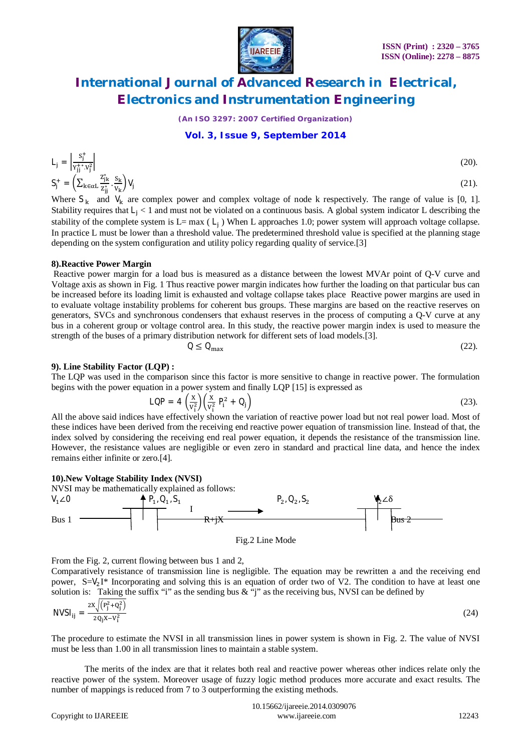

*(An ISO 3297: 2007 Certified Organization)*

### **Vol. 3, Issue 9, September 2014**

$$
L_j = \left| \frac{s_j^+}{y_{j_j^+}^* y_j^2} \right|
$$
  
\n
$$
S_j^+ = \left( \sum_{k \in \alpha L} \frac{z_{j_k}^*}{z_{j_j^+}^*} \frac{s_k}{v_k} \right) V_j
$$
\n(20).

Where  $S_k$  and  $V_k$  are complex power and complex voltage of node k respectively. The range of value is [0, 1]. Stability requires that  $L_1 < 1$  and must not be violated on a continuous basis. A global system indicator L describing the stability of the complete system is  $L= max (L<sub>j</sub>)$  When L approaches 1.0; power system will approach voltage collapse. In practice L must be lower than a threshold value. The predetermined threshold value is specified at the planning stage depending on the system configuration and utility policy regarding quality of service.[3]

### **8).Reactive Power Margin**

Reactive power margin for a load bus is measured as a distance between the lowest MVAr point of Q-V curve and Voltage axis as shown in Fig. 1 Thus reactive power margin indicates how further the loading on that particular bus can be increased before its loading limit is exhausted and voltage collapse takes place Reactive power margins are used in to evaluate voltage instability problems for coherent bus groups. These margins are based on the reactive reserves on generators, SVCs and synchronous condensers that exhaust reserves in the process of computing a Q-V curve at any bus in a coherent group or voltage control area. In this study, the reactive power margin index is used to measure the strength of the buses of a primary distribution network for different sets of load models.[3].

$$
Q \le Q_{\text{max}} \tag{22}
$$

### **9). Line Stability Factor (LQP) :**

The LQP was used in the comparison since this factor is more sensitive to change in reactive power. The formulation begins with the power equation in a power system and finally LQP [15] is expressed as

$$
LQP = 4\left(\frac{x}{v_i^2}\right)\left(\frac{x}{v_i^2}P_i^2 + Q_j\right) \tag{23}.
$$

All the above said indices have effectively shown the variation of reactive power load but not real power load. Most of these indices have been derived from the receiving end reactive power equation of transmission line. Instead of that, the index solved by considering the receiving end real power equation, it depends the resistance of the transmission line. However, the resistance values are negligible or even zero in standard and practical line data, and hence the index remains either infinite or zero.[4].

#### **10).New Voltage Stability Index (NVSI)**

NVSI may be mathematically explained as follows:



From the Fig. 2, current flowing between bus 1 and 2,

Comparatively resistance of transmission line is negligible. The equation may be rewritten a and the receiving end power,  $S=V_2I^*$  Incorporating and solving this is an equation of order two of V2. The condition to have at least one solution is: Taking the suffix "i" as the sending bus  $\&$  "i" as the receiving bus, NVSI can be defined by

$$
NVSI_{ij} = \frac{2X\sqrt{(P_j^2 + Q_j^2)}}{2Q_jX - V_i^2}
$$
 (24)

The procedure to estimate the NVSI in all transmission lines in power system is shown in Fig. 2. The value of NVSI must be less than 1.00 in all transmission lines to maintain a stable system.

 The merits of the index are that it relates both real and reactive power whereas other indices relate only the reactive power of the system. Moreover usage of fuzzy logic method produces more accurate and exact results. The number of mappings is reduced from 7 to 3 outperforming the existing methods.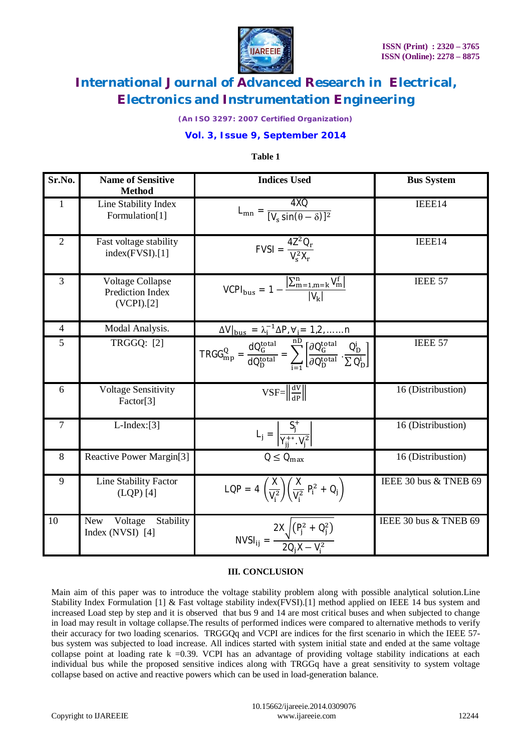

*(An ISO 3297: 2007 Certified Organization)*

# **Vol. 3, Issue 9, September 2014**

### **Table 1**

| Sr.No.         | <b>Name of Sensitive</b><br><b>Method</b>                    | <b>Indices Used</b>                                                                                                                                                   | <b>Bus System</b>     |
|----------------|--------------------------------------------------------------|-----------------------------------------------------------------------------------------------------------------------------------------------------------------------|-----------------------|
| $\mathbf{1}$   | Line Stability Index<br>Formulation[1]                       | $L_{mn} = \frac{4XQ}{[V_s \sin(\theta - \delta)]^2}$                                                                                                                  | IEEE14                |
| $\overline{2}$ | Fast voltage stability<br>index(FVSI).[1]                    | $FVSI = \frac{4Z^2Q_r}{V^2X_r}$                                                                                                                                       | IEEE14                |
| 3              | <b>Voltage Collapse</b><br>Prediction Index<br>$(VCPI)$ .[2] | $VCPI_{bus} = 1 - \frac{ \sum_{m=1,m=k}^{n} V_m^f }{ V_{v}  }$                                                                                                        | IEEE 57               |
| $\overline{4}$ | Modal Analysis.                                              | $\Delta V _{\text{bus}} = \lambda_1^{-1} \Delta P, V_1 = 1, 2, \dots \dots n$                                                                                         |                       |
| 5              | <b>TRGGQ: [2]</b>                                            | $TRGG_{mp}^{Q} = \frac{dQ_G^{total}}{dQ_D^{total}} = \sum_{i=1}^{nD} \left[ \frac{\partial Q_G^{total}}{\partial Q_D^{total}} \cdot \frac{Q_D^i}{\sum Q_D^i} \right]$ | IEEE 57               |
| 6              | <b>Voltage Sensitivity</b><br>Factor <sup>[3]</sup>          | $\overline{\text{VSF}} = \left\  \frac{\text{d} \text{V}}{\text{d} \text{P}} \right\ $                                                                                | 16 (Distribustion)    |
| $\tau$         | $L$ -Index:[3]                                               | $L_j = \left  \frac{S_j^T}{Y_{ii}^{+*}. V_i^2} \right $                                                                                                               | 16 (Distribustion)    |
| 8              | Reactive Power Margin[3]                                     | $Q \leq Q_{\text{max}}$                                                                                                                                               | 16 (Distribustion)    |
| 9              | Line Stability Factor<br>$(LQP)$ [4]                         | LQP = $4\left(\frac{x}{V_i^2}\right)\left(\frac{x}{V_i^2}P_i^2+Q_j\right)$                                                                                            | IEEE 30 bus & TNEB 69 |
| 10             | Voltage<br>Stability<br>New<br>Index (NVSI) $[4]$            | NVSI <sub>ij</sub> = $\frac{2X\sqrt{(P_j^2 + Q_j^2)}}{2Q_1X - V_1^2}$                                                                                                 | IEEE 30 bus & TNEB 69 |

### **III. CONCLUSION**

Main aim of this paper was to introduce the voltage stability problem along with possible analytical solution.Line Stability Index Formulation [1] & Fast voltage stability index(FVSI).<sup>[1]</sup> method applied on IEEE 14 bus system and increased Load step by step and it is observed that bus 9 and 14 are most critical buses and when subjected to change in load may result in voltage collapse.The results of performed indices were compared to alternative methods to verify their accuracy for two loading scenarios. TRGGQq and VCPI are indices for the first scenario in which the IEEE 57 bus system was subjected to load increase. All indices started with system initial state and ended at the same voltage collapse point at loading rate  $k = 0.39$ . VCPI has an advantage of providing voltage stability indications at each individual bus while the proposed sensitive indices along with TRGGq have a great sensitivity to system voltage collapse based on active and reactive powers which can be used in load-generation balance.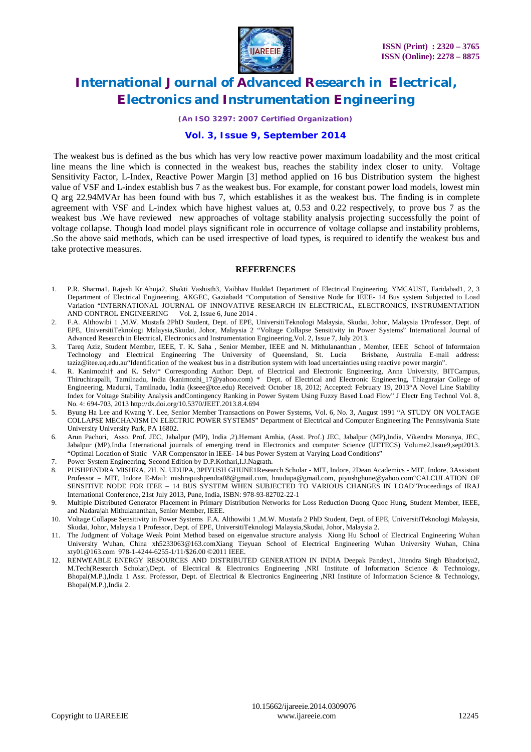

*(An ISO 3297: 2007 Certified Organization)*

### **Vol. 3, Issue 9, September 2014**

The weakest bus is defined as the bus which has very low reactive power maximum loadability and the most critical line means the line which is connected in the weakest bus, reaches the stability index closer to unity. Voltage Sensitivity Factor, L-Index, Reactive Power Margin [3] method applied on 16 bus Distribution system the highest value of VSF and L-index establish bus 7 as the weakest bus. For example, for constant power load models, lowest min Q arg 22.94MVAr has been found with bus 7, which establishes it as the weakest bus. The finding is in complete agreement with VSF and L-index which have highest values at, 0.53 and 0.22 respectively, to prove bus 7 as the weakest bus .We have reviewed new approaches of voltage stability analysis projecting successfully the point of voltage collapse. Though load model plays significant role in occurrence of voltage collapse and instability problems, .So the above said methods, which can be used irrespective of load types, is required to identify the weakest bus and take protective measures.

### **REFERENCES**

- 1. P.R. Sharma1, Rajesh Kr.Ahuja2, Shakti Vashisth3, Vaibhav Hudda4 Department of Electrical Engineering, YMCAUST, Faridabad1, 2, 3 Department of Electrical Engineering, AKGEC, Gaziabad4 "Computation of Sensitive Node for IEEE- 14 Bus system Subjected to Load Variation "INTERNATIONAL JOURNAL OF INNOVATIVE RESEARCH IN ELECTRICAL, ELECTRONICS, INSTRUMENTATION AND CONTROL ENGINEERING Vol. 2, Issue 6, June 2014.
- 2. F.A. Althowibi 1 ,M.W. Mustafa 2PhD Student, Dept. of EPE, UniversitiTeknologi Malaysia, Skudai, Johor, Malaysia 1Professor, Dept. of EPE, UniversitiTeknologi Malaysia,Skudai, Johor, Malaysia 2 "Voltage Collapse Sensitivity in Power Systems" International Journal of Advanced Research in Electrical, Electronics and Instrumentation Engineering,Vol. 2, Issue 7, July 2013.
- 3. Tareq Aziz, Student Member, IEEE, T. K. Saha , Senior Member, IEEE and N. Mithulananthan , Member, IEEE School of Informtaion Technology and Electrical Engineering The University of Queensland, St. Lucia Brisbane, Australia E-mail address: taziz@itee.uq.edu.au"Identification of the weakest bus in a distribution system with load uncertainties using reactive power margin".
- 4. R. Kanimozhi† and K. Selvi\* Corresponding Author: Dept. of Electrical and Electronic Engineering, Anna University, BITCampus, Thiruchirapalli, Tamilnadu, India (kanimozhi\_17@yahoo.com) \* Dept. of Electrical and Electronic Engineering, Thiagarajar College of Engineering, Madurai, Tamilnadu, India (kseee@tce.edu) Received: October 18, 2012; Accepted: February 19, 2013"A Novel Line Stability Index for Voltage Stability Analysis andContingency Ranking in Power System Using Fuzzy Based Load Flow" J Electr Eng Technol Vol. 8, No. 4: 694-703, 2013 http://dx.doi.org/10.5370/JEET.2013.8.4.694
- 5. Byung Ha Lee and Kwang Y. Lee, Senior Member Transactions on Power Systems, Vol. 6, No. 3, August 1991 "A STUDY ON VOLTAGE COLLAPSE MECHANISM IN ELECTRIC POWER SYSTEMS" Department of Electrical and Computer Engineering The Pennsylvania State University University Park, PA 16802.
- 6. Arun Pachori, Asso. Prof. JEC, Jabalpur (MP), India ,2).Hemant Amhia, (Asst. Prof.) JEC, Jabalpur (MP),India, Vikendra Moranya, JEC, Jabalpur (MP),India International journals of emerging trend in Electronics and computer Science (IJETECS) Volume2,Issue9,sept2013. "Optimal Location of Static VAR Compensator in IEEE- 14 bus Power System at Varying Load Conditions"
- 7. Power System Engineering, Second Edition by D.P.Kothari,I.J.Nagrath.
- 8. PUSHPENDRA MISHRA, 2H. N. UDUPA, 3PIYUSH GHUNE1Research Scholar MIT, Indore, 2Dean Academics MIT, Indore, 3Assistant Professor – MIT, Indore E-Mail: mishrapushpendra08@gmail.com, hnudupa@gmail.com, piyushghune@yahoo.com"CALCULATION OF SENSITIVE NODE FOR IEEE – 14 BUS SYSTEM WHEN SUBJECTED TO VARIOUS CHANGES IN LOAD"Proceedings of IRAJ International Conference, 21st July 2013, Pune, India, ISBN: 978-93-82702-22-1
- 9. Multiple Distributed Generator Placement in Primary Distribution Networks for Loss Reduction Duong Quoc Hung, Student Member, IEEE, and Nadarajah Mithulananthan, Senior Member, IEEE.
- 10. Voltage Collapse Sensitivity in Power Systems F.A. Althowibi 1 ,M.W. Mustafa 2 PhD Student, Dept. of EPE, UniversitiTeknologi Malaysia, Skudai, Johor, Malaysia 1 Professor, Dept. of EPE, UniversitiTeknologi Malaysia,Skudai, Johor, Malaysia 2.
- 11. The Judgment of Voltage Weak Point Method based on eigenvalue structure analysis Xiong Hu School of Electrical Engineering Wuhan University Wuhan, China xh5233063@163.comXiang Tieyuan School of Electrical Engineering Wuhan University Wuhan, China xty01@163.com 978-1-4244-6255-1/11/\$26.00 ©2011 IEEE.
- 12. RENWEABLE ENERGY RESOURCES AND DISTRIBUTED GENERATION IN INDIA Deepak Pandey1, Jitendra Singh Bhadoriya2, M.Tech(Research Scholar),Dept. of Electrical & Electronics Engineering ,NRI Institute of Information Science & Technology, Bhopal(M.P.),India 1 Asst. Professor, Dept. of Electrical & Electronics Engineering ,NRI Institute of Information Science & Technology, Bhopal(M.P.),India 2.